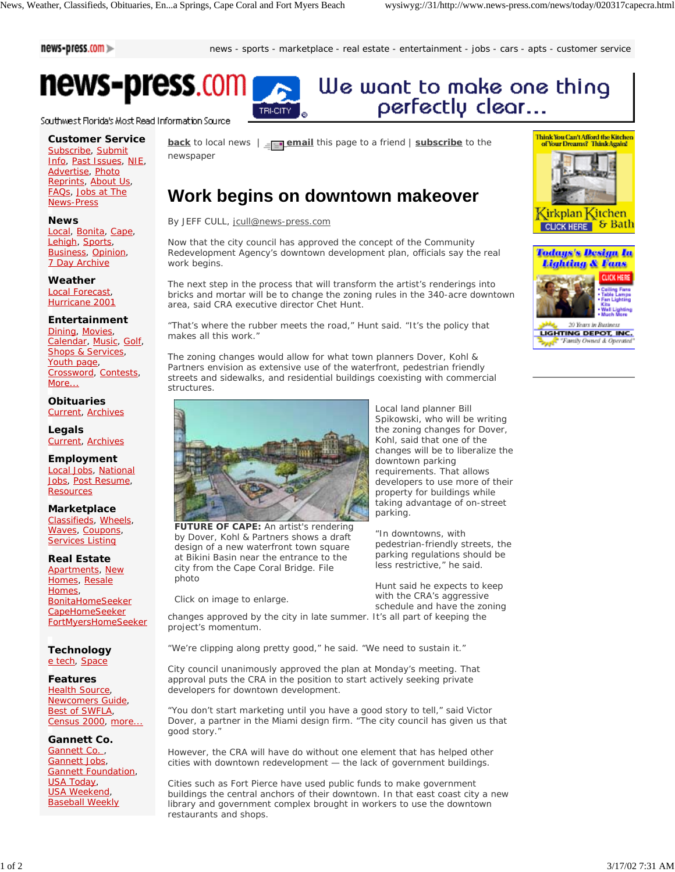news-press.com >

news - sports - marketplace - real estate - entertainment - jobs - cars - apts - customer service

We want to make one thing perfectly clear...

# news-press.com TRI-CITY

Southwest Florida's Most Read Information Source

**Customer Service** Subscribe, Submit Info, Past Issues, NIE, Advertise, Photo Reprints, About Us, FAQs, Jobs at The News-Press

#### **News**

Local, Bonita, Cape, Lehigh, Sports, Business, Opinion, 7 Day Archive

**Weather** Local Forecast, Hurricane 2001

## **Entertainment**

Dining, Movies, Calendar, Music, Golf, Shops & Services, Youth page, Crossword, Contests, More...

**Obituaries** Current, Archives

**Legals** Current, Archives

**Employment** Local Jobs, National Jobs, Post Resume, Resources

**Marketplace** Classifieds, Wheels, Waves, Coupons, **Services Listing** 

**Real Estate** Apartments, New Homes, Resale Homes, **BonitaHomeSeeker** CapeHomeSeeker FortMyersHomeSeeker

**Technology** e tech, Space

### **Features**

**Health Source,** Newcomers Guide, Best of SWFLA, Census 2000, more.

**Gannett Co.**

Gannett Co., Gannett Jobs, Gannett Foundation, USA Today, USA Weekend, **Baseball Weekly** 

**back** to local news  $\parallel \text{F}$  email this page to a friend  $\parallel$  **subscribe** to the newspaper

e

## **Work begins on downtown makeover**

By JEFF CULL, jcull@news-press.com

Now that the city council has approved the concept of the Community Redevelopment Agency's downtown development plan, officials say the real work begins.

The next step in the process that will transform the artist's renderings into bricks and mortar will be to change the zoning rules in the 340-acre downtown area, said CRA executive director Chet Hunt.

"That's where the rubber meets the road," Hunt said. "It's the policy that makes all this work."

The zoning changes would allow for what town planners Dover, Kohl & Partners envision as extensive use of the waterfront, pedestrian friendly streets and sidewalks, and residential buildings coexisting with commercial structures.



**FUTURE OF CAPE:** An artist's rendering by Dover, Kohl & Partners shows a draft design of a new waterfront town square at Bikini Basin near the entrance to the city from the Cape Coral Bridge. *File photo*

*Click on image to enlarge.*

Local land planner Bill Spikowski, who will be writing the zoning changes for Dover, Kohl, said that one of the changes will be to liberalize the downtown parking requirements. That allows developers to use more of their property for buildings while taking advantage of on-street parking.

"In downtowns, with pedestrian-friendly streets, the parking regulations should be less restrictive," he said.

Hunt said he expects to keep with the CRA's aggressive schedule and have the zoning

changes approved by the city in late summer. It's all part of keeping the project's momentum.

"We're clipping along pretty good," he said. "We need to sustain it."

City council unanimously approved the plan at Monday's meeting. That approval puts the CRA in the position to start actively seeking private developers for downtown development.

"You don't start marketing until you have a good story to tell," said Victor Dover, a partner in the Miami design firm. "The city council has given us that good story."

However, the CRA will have do without one element that has helped other cities with downtown redevelopment — the lack of government buildings.

Cities such as Fort Pierce have used public funds to make government buildings the central anchors of their downtown. In that east coast city a new library and government complex brought in workers to use the downtown restaurants and shops.